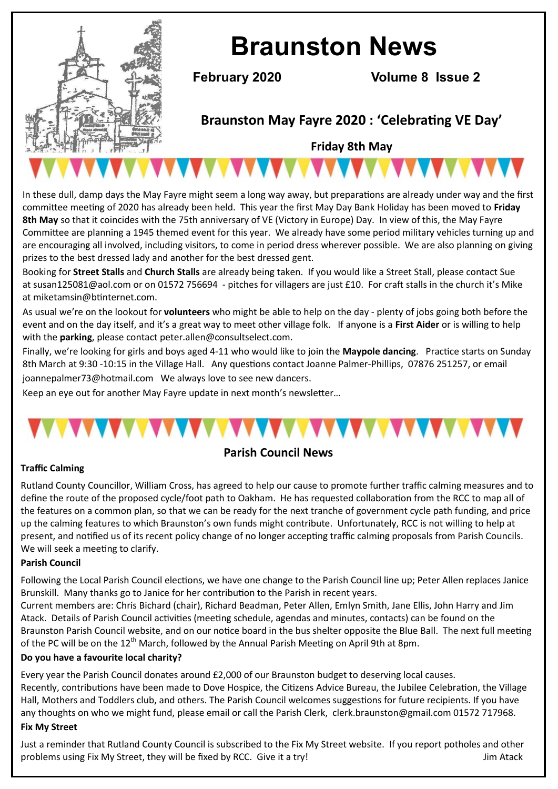

# **Braunston News**

**February 2020 Volume 8 Issue 2**

# **Braunston May Fayre 2020 : 'Celebrating VE Day'**

**Friday 8th May**

In these dull, damp days the May Fayre might seem a long way away, but preparations are already under way and the first committee meeting of 2020 has already been held. This year the first May Day Bank Holiday has been moved to **Friday 8th May** so that it coincides with the 75th anniversary of VE (Victory in Europe) Day. In view of this, the May Fayre Committee are planning a 1945 themed event for this year. We already have some period military vehicles turning up and are encouraging all involved, including visitors, to come in period dress wherever possible. We are also planning on giving prizes to the best dressed lady and another for the best dressed gent.

Booking for **Street Stalls** and **Church Stalls** are already being taken. If you would like a Street Stall, please contact Sue at susan125081@aol.com or on 01572 756694 - pitches for villagers are just £10. For craft stalls in the church it's Mike at miketamsin@btinternet.com.

As usual we're on the lookout for **volunteers** who might be able to help on the day - plenty of jobs going both before the event and on the day itself, and it's a great way to meet other village folk. If anyone is a **First Aider** or is willing to help with the **parking**, please contact peter.allen@consultselect.com.

Finally, we're looking for girls and boys aged 4-11 who would like to join the **Maypole dancing**. Practice starts on Sunday 8th March at 9:30 -10:15 in the Village Hall. Any questions contact Joanne Palmer-Phillips, 07876 251257, or email

joannepalmer73@hotmail.com We always love to see new dancers.

Keep an eye out for another May Fayre update in next month's newsletter…

# **Parish Council News**

### **Traffic Calming**

Rutland County Councillor, William Cross, has agreed to help our cause to promote further traffic calming measures and to define the route of the proposed cycle/foot path to Oakham. He has requested collaboration from the RCC to map all of the features on a common plan, so that we can be ready for the next tranche of government cycle path funding, and price up the calming features to which Braunston's own funds might contribute. Unfortunately, RCC is not willing to help at present, and notified us of its recent policy change of no longer accepting traffic calming proposals from Parish Councils. We will seek a meeting to clarify.

#### **Parish Council**

Following the Local Parish Council elections, we have one change to the Parish Council line up; Peter Allen replaces Janice Brunskill. Many thanks go to Janice for her contribution to the Parish in recent years.

Current members are: Chris Bichard (chair), Richard Beadman, Peter Allen, Emlyn Smith, Jane Ellis, John Harry and Jim Atack. Details of Parish Council activities (meeting schedule, agendas and minutes, contacts) can be found on the Braunston Parish Council website, and on our notice board in the bus shelter opposite the Blue Ball. The next full meeting of the PC will be on the 12<sup>th</sup> March, followed by the Annual Parish Meeting on April 9th at 8pm.

#### **Do you have a favourite local charity?**

Every year the Parish Council donates around £2,000 of our Braunston budget to deserving local causes. Recently, contributions have been made to Dove Hospice, the Citizens Advice Bureau, the Jubilee Celebration, the Village Hall, Mothers and Toddlers club, and others. The Parish Council welcomes suggestions for future recipients. If you have any thoughts on who we might fund, please email or call the Parish Clerk, clerk.braunston@gmail.com 01572 717968.

#### **Fix My Street**

Just a reminder that Rutland County Council is subscribed to the Fix My Street website. If you report potholes and other problems using Fix My Street, they will be fixed by RCC. Give it a try! Jum Atack